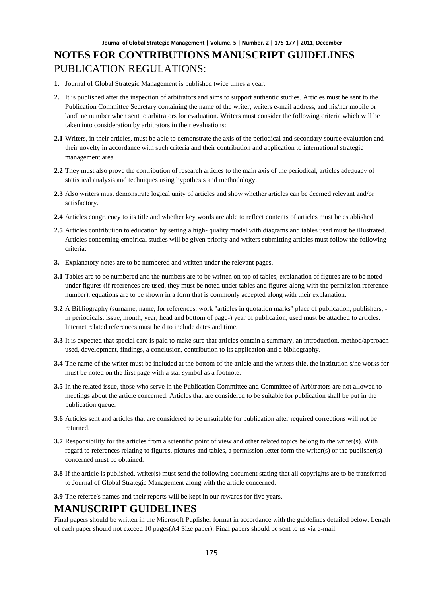- **1.** Journal of Global Strategic Management is published twice times a year.
- **2.** It is published after the inspection of arbitrators and aims to support authentic studies. Articles must be sent to the Publication Committee Secretary containing the name of the writer, writers e-mail address, and his/her mobile or landline number when sent to arbitrators for evaluation. Writers must consider the following criteria which will be taken into consideration by arbitrators in their evaluations:
- **2.1** Writers, in their articles, must be able to demonstrate the axis of the periodical and secondary source evaluation and their novelty in accordance with such criteria and their contribution and application to international strategic management area.
- **2.2** They must also prove the contribution of research articles to the main axis of the periodical, articles adequacy of statistical analysis and techniques using hypothesis and methodology.
- **2.3** Also writers must demonstrate logical unity of articles and show whether articles can be deemed relevant and/or satisfactory.
- **2.4** Articles congruency to its title and whether key words are able to reflect contents of articles must be established.
- **2.5** Articles contribution to education by setting a high- quality model with diagrams and tables used must be illustrated. Articles concerning empirical studies will be given priority and writers submitting articles must follow the following criteria:
- **3.** Explanatory notes are to be numbered and written under the relevant pages.
- **3.1** Tables are to be numbered and the numbers are to be written on top of tables, explanation of figures are to be noted under figures (if references are used, they must be noted under tables and figures along with the permission reference number), equations are to be shown in a form that is commonly accepted along with their explanation.
- **3.2** A Bibliography (surname, name, for references, work "articles in quotation marks" place of publication, publishers, in periodicals: issue, month, year, head and bottom of page-) year of publication, used must be attached to articles. Internet related references must be d to include dates and time.
- **3.3** It is expected that special care is paid to make sure that articles contain a summary, an introduction, method/approach used, development, findings, a conclusion, contribution to its application and a bibliography.
- **3.4** The name of the writer must be included at the bottom of the article and the writers title, the institution s/he works for must be noted on the first page with a star symbol as a footnote.
- **3.5** In the related issue, those who serve in the Publication Committee and Committee of Arbitrators are not allowed to meetings about the article concerned. Articles that are considered to be suitable for publication shall be put in the publication queue.
- **3.6** Articles sent and articles that are considered to be unsuitable for publication after required corrections will not be returned.
- **3.7** Responsibility for the articles from a scientific point of view and other related topics belong to the writer(s). With regard to references relating to figures, pictures and tables, a permission letter form the writer(s) or the publisher(s) concerned must be obtained.
- **3.8** If the article is published, writer(s) must send the following document stating that all copyrights are to be transferred to Journal of Global Strategic Management along with the article concerned.
- **3.9** The referee's names and their reports will be kept in our rewards for five years.

## **MANUSCRIPT GUIDELINES**

Final papers should be written in the Microsoft Puplisher format in accordance with the guidelines detailed below. Length of each paper should not exceed 10 pages(A4 Size paper). Final papers should be sent to us via e-mail.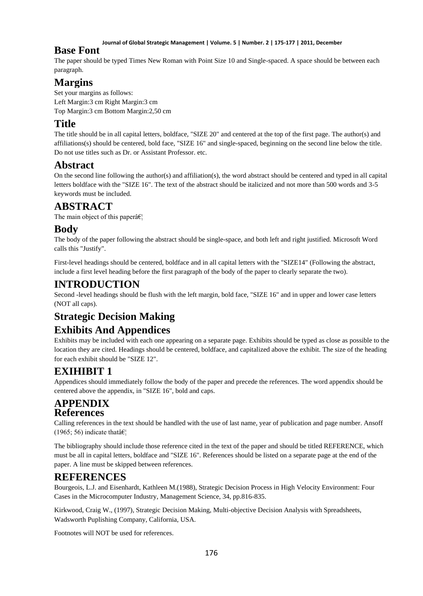#### **Journal of Global Strategic Management | Volume. 5 | Number. 2 | 175-177 | 2011, December**

## **Base Font**

The paper should be typed Times New Roman with Point Size 10 and Single-spaced. A space should be between each paragraph.

# **Margins**

Set your margins as follows: Left Margin:3 cm Right Margin:3 cm Top Margin:3 cm Bottom Margin:2,50 cm

# **Title**

The title should be in all capital letters, boldface, "SIZE 20" and centered at the top of the first page. The author(s) and affiliations(s) should be centered, bold face, "SIZE 16" and single-spaced, beginning on the second line below the title. Do not use titles such as Dr. or Assistant Professor. etc.

## **Abstract**

On the second line following the author(s) and affiliation(s), the word abstract should be centered and typed in all capital letters boldface with the "SIZE 16". The text of the abstract should be italicized and not more than 500 words and 3-5 keywords must be included.

## **ABSTRACT**

The main object of this paper $\hat{a} \in \mathcal{C}_1$ 

## **Body**

The body of the paper following the abstract should be single-space, and both left and right justified. Microsoft Word calls this "Justify".

First-level headings should be centered, boldface and in all capital letters with the "SIZE14" (Following the abstract, include a first level heading before the first paragraph of the body of the paper to clearly separate the two).

## **INTRODUCTION**

Second -level headings should be flush with the left margin, bold face, "SIZE 16" and in upper and lower case letters (NOT all caps).

# **Strategic Decision Making**

# **Exhibits And Appendices**

Exhibits may be included with each one appearing on a separate page. Exhibits should be typed as close as possible to the location they are cited. Headings should be centered, boldface, and capitalized above the exhibit. The size of the heading for each exhibit should be "SIZE 12".

# **EXIHIBIT 1**

Appendices should immediately follow the body of the paper and precede the references. The word appendix should be centered above the appendix, in "SIZE 16", bold and caps.

## **APPENDIX References**

Calling references in the text should be handled with the use of last name, year of publication and page number. Ansoff (1965; 56) indicate that  $\hat{\mathbf{a}} \in \mathbb{R}^n$ 

The bibliography should include those reference cited in the text of the paper and should be titled REFERENCE, which must be all in capital letters, boldface and "SIZE 16". References should be listed on a separate page at the end of the paper. A line must be skipped between references.

# **REFERENCES**

Bourgeois, L.J. and Eisenhardt, Kathleen M.(1988), Strategic Decision Process in High Velocity Environment: Four Cases in the Microcomputer Industry, Management Science, 34, pp.816-835.

Kirkwood, Craig W., (1997), Strategic Decision Making, Multi-objective Decision Analysis with Spreadsheets, Wadsworth Puplishing Company, California, USA.

Footnotes will NOT be used for references.